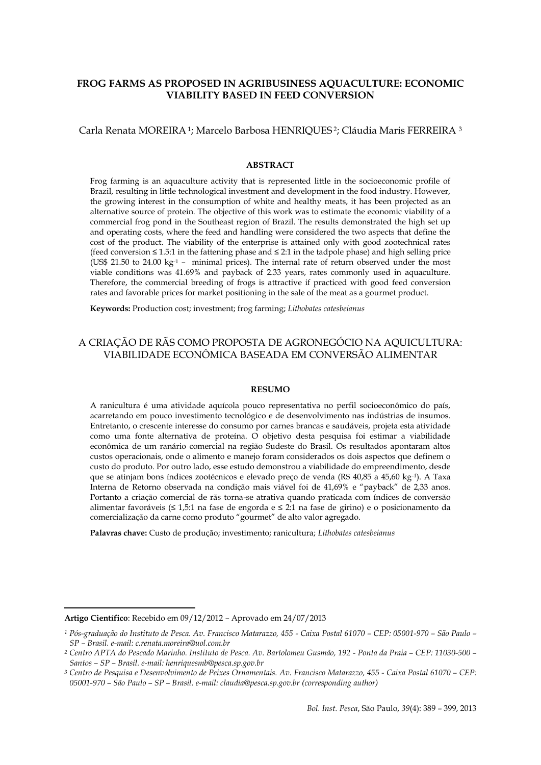# **FROG FARMS AS PROPOSED IN AGRIBUSINESS AQUACULTURE: ECONOMIC VIABILITY BASED IN FEED CONVERSION**

## Carla Renata MOREIRA1; Marcelo Barbosa HENRIQUES <sup>2</sup>; Cláudia Maris FERREIRA <sup>3</sup>

## **ABSTRACT**

Frog farming is an aquaculture activity that is represented little in the socioeconomic profile of Brazil, resulting in little technological investment and development in the food industry. However, the growing interest in the consumption of white and healthy meats, it has been projected as an alternative source of protein. The objective of this work was to estimate the economic viability of a commercial frog pond in the Southeast region of Brazil. The results demonstrated the high set up and operating costs, where the feed and handling were considered the two aspects that define the cost of the product. The viability of the enterprise is attained only with good zootechnical rates (feed conversion ≤ 1.5:1 in the fattening phase and ≤ 2:1 in the tadpole phase) and high selling price (US\$ 21.50 to 24.00  $kg<sup>-1</sup>$  – minimal prices). The internal rate of return observed under the most viable conditions was 41.69% and payback of 2.33 years, rates commonly used in aquaculture. Therefore, the commercial breeding of frogs is attractive if practiced with good feed conversion rates and favorable prices for market positioning in the sale of the meat as a gourmet product.

**Keywords:** Production cost; investment; frog farming; *Lithobates catesbeianus*

# A CRIAÇÃO DE RÃS COMO PROPOSTA DE AGRONEGÓCIO NA AQUICULTURA: VIABILIDADE ECONÔMICA BASEADA EM CONVERSÃO ALIMENTAR

#### **RESUMO**

A ranicultura é uma atividade aquícola pouco representativa no perfil socioeconômico do país, acarretando em pouco investimento tecnológico e de desenvolvimento nas indústrias de insumos. Entretanto, o crescente interesse do consumo por carnes brancas e saudáveis, projeta esta atividade como uma fonte alternativa de proteína. O objetivo desta pesquisa foi estimar a viabilidade econômica de um ranário comercial na região Sudeste do Brasil. Os resultados apontaram altos custos operacionais, onde o alimento e manejo foram considerados os dois aspectos que definem o custo do produto. Por outro lado, esse estudo demonstrou a viabilidade do empreendimento, desde que se atinjam bons índices zootécnicos e elevado preço de venda (R\$ 40,85 a 45,60 kg-1). A Taxa Interna de Retorno observada na condição mais viável foi de 41,69% e "payback" de 2,33 anos. Portanto a criação comercial de rãs torna-se atrativa quando praticada com índices de conversão alimentar favoráveis (≤ 1,5:1 na fase de engorda e ≤ 2:1 na fase de girino) e o posicionamento da comercialização da carne como produto "gourmet" de alto valor agregado.

**Palavras chave:** Custo de produção; investimento; ranicultura; *Lithobates catesbeianus*

 $\overline{\phantom{a}}$ 

**Artigo Científico**: Recebido em 09/12/2012 – Aprovado em 24/07/2013

*<sup>1</sup> Pós-graduação do Instituto de Pesca. Av. Francisco Matarazzo, 455 - Caixa Postal 61070 – CEP: 05001-970 – São Paulo – SP – Brasil. e-mail: c.renata.moreira@uol.com.br*

*<sup>2</sup> Centro APTA do Pescado Marinho. Instituto de Pesca. Av. Bartolomeu Gusmão, 192 - Ponta da Praia – CEP: 11030-500 – Santos – SP – Brasil. e-mail: henriquesmb@pesca.sp.gov.br*

*<sup>3</sup> Centro de Pesquisa e Desenvolvimento de Peixes Ornamentais. Av. Francisco Matarazzo, 455 - Caixa Postal 61070 – CEP: 05001-970 – São Paulo – SP – Brasil. e-mail[: claudia@pesca.sp.gov.br](mailto:claudia@pesca.sp.gov.br) (corresponding author)*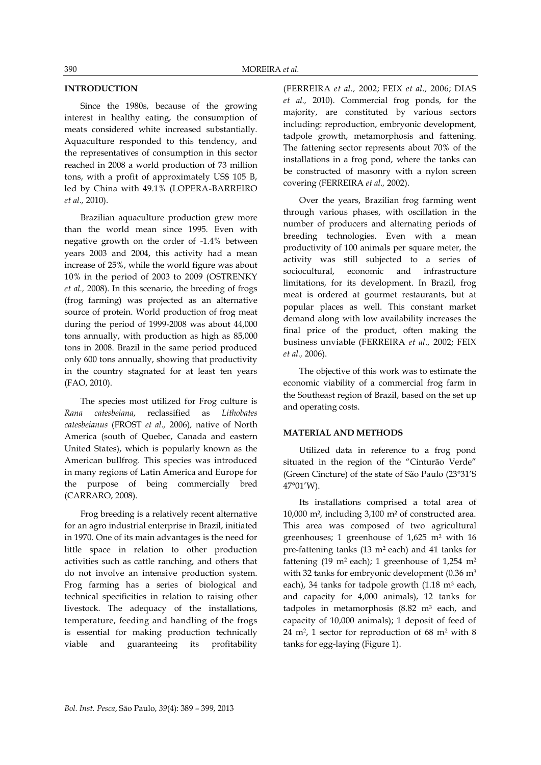# **INTRODUCTION**

Since the 1980s, because of the growing interest in healthy eating, the consumption of meats considered white increased substantially. Aquaculture responded to this tendency, and the representatives of consumption in this sector reached in 2008 a world production of 73 million tons, with a profit of approximately US\$ 105 B, led by China with 49.1% (LOPERA-BARREIRO *et al.,* 2010).

Brazilian aquaculture production grew more than the world mean since 1995. Even with negative growth on the order of -1.4% between years 2003 and 2004, this activity had a mean increase of 25%, while the world figure was about 10% in the period of 2003 to 2009 (OSTRENKY *et al.,* 2008). In this scenario, the breeding of frogs (frog farming) was projected as an alternative source of protein. World production of frog meat during the period of 1999-2008 was about 44,000 tons annually, with production as high as 85,000 tons in 2008. Brazil in the same period produced only 600 tons annually, showing that productivity in the country stagnated for at least ten years (FAO, 2010).

The species most utilized for Frog culture is *Rana catesbeiana*, reclassified as *Lithobates catesbeianus* (FROST *et al.,* 2006)*,* native of North America (south of Quebec, Canada and eastern United States), which is popularly known as the American bullfrog. This species was introduced in many regions of Latin America and Europe for the purpose of being commercially bred (CARRARO, 2008).

Frog breeding is a relatively recent alternative for an agro industrial enterprise in Brazil, initiated in 1970. One of its main advantages is the need for little space in relation to other production activities such as cattle ranching, and others that do not involve an intensive production system. Frog farming has a series of biological and technical specificities in relation to raising other livestock. The adequacy of the installations, temperature, feeding and handling of the frogs is essential for making production technically viable and guaranteeing its profitability (FERREIRA *et al.,* 2002; FEIX *et al.,* 2006; DIAS *et al.,* 2010). Commercial frog ponds, for the majority, are constituted by various sectors including: reproduction, embryonic development, tadpole growth, metamorphosis and fattening. The fattening sector represents about 70% of the installations in a frog pond, where the tanks can be constructed of masonry with a nylon screen covering (FERREIRA *et al.,* 2002).

Over the years, Brazilian frog farming went through various phases, with oscillation in the number of producers and alternating periods of breeding technologies. Even with a mean productivity of 100 animals per square meter, the activity was still subjected to a series of sociocultural, economic and infrastructure limitations, for its development. In Brazil, frog meat is ordered at gourmet restaurants, but at popular places as well. This constant market demand along with low availability increases the final price of the product, often making the business unviable (FERREIRA *et al.,* 2002; FEIX *et al.,* 2006).

The objective of this work was to estimate the economic viability of a commercial frog farm in the Southeast region of Brazil, based on the set up and operating costs.

### **MATERIAL AND METHODS**

Utilized data in reference to a frog pond situated in the region of the "Cinturão Verde" (Green Cincture) of the state of São Paulo (23°31'S 47°01'W).

Its installations comprised a total area of 10,000 m², including 3,100 m² of constructed area. This area was composed of two agricultural greenhouses; 1 greenhouse of  $1,625$  m<sup>2</sup> with 16 pre-fattening tanks (13 m2 each) and 41 tanks for fattening (19 m<sup>2</sup> each); 1 greenhouse of 1,254 m<sup>2</sup> with 32 tanks for embryonic development ( $0.36$  m<sup>3</sup> each), 34 tanks for tadpole growth  $(1.18 \text{ m}^3 \text{ each})$ , and capacity for 4,000 animals), 12 tanks for tadpoles in metamorphosis  $(8.82 \text{ m}^3 \text{ each}, \text{ and})$ capacity of 10,000 animals); 1 deposit of feed of 24 m<sup>2</sup> , 1 sector for reproduction of 68 m<sup>2</sup> with 8 tanks for egg-laying (Figure 1).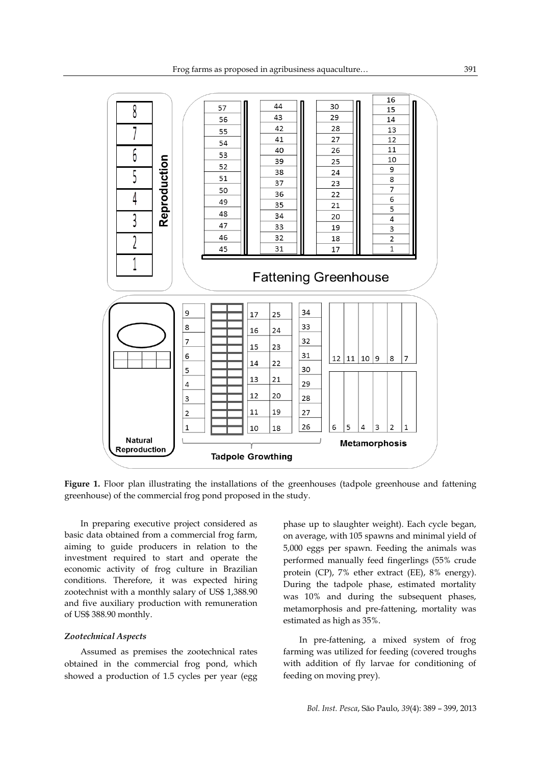

Figure 1. Floor plan illustrating the installations of the greenhouses (tadpole greenhouse and fattening greenhouse) of the commercial frog pond proposed in the study.

In preparing executive project considered as basic data obtained from a commercial frog farm, aiming to guide producers in relation to the investment required to start and operate the economic activity of frog culture in Brazilian conditions. Therefore, it was expected hiring zootechnist with a monthly salary of US\$ 1,388.90 and five auxiliary production with remuneration of US\$ 388.90 monthly.

#### *Zootechnical Aspects*

Assumed as premises the zootechnical rates obtained in the commercial frog pond, which showed a production of 1.5 cycles per year (egg phase up to slaughter weight). Each cycle began, on average, with 105 spawns and minimal yield of 5,000 eggs per spawn. Feeding the animals was performed manually feed fingerlings (55% crude protein (CP), 7% ether extract (EE), 8% energy). During the tadpole phase, estimated mortality was 10% and during the subsequent phases, metamorphosis and pre-fattening, mortality was estimated as high as 35%.

In pre-fattening, a mixed system of frog farming was utilized for feeding (covered troughs with addition of fly larvae for conditioning of feeding on moving prey).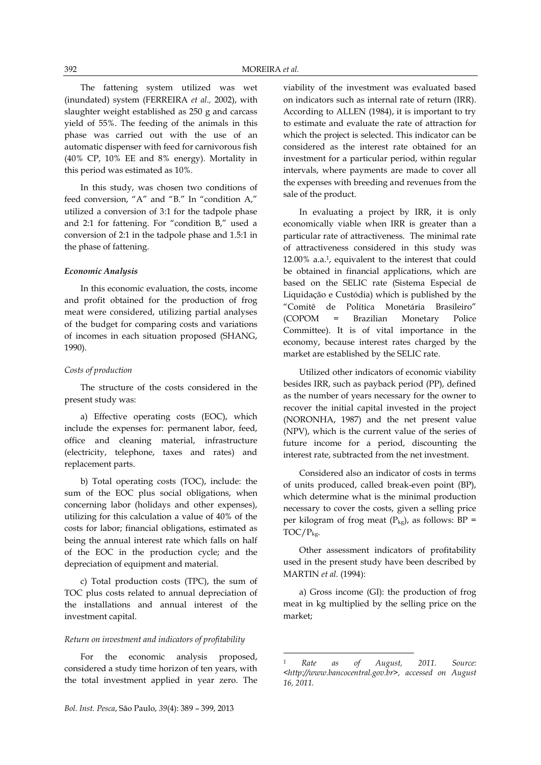The fattening system utilized was wet (inundated) system (FERREIRA *et al.,* 2002), with slaughter weight established as 250 g and carcass yield of 55%. The feeding of the animals in this phase was carried out with the use of an automatic dispenser with feed for carnivorous fish (40% CP, 10% EE and 8% energy). Mortality in this period was estimated as 10%.

In this study, was chosen two conditions of feed conversion, "A" and "B." In "condition A," utilized a conversion of 3:1 for the tadpole phase and 2:1 for fattening. For "condition B," used a conversion of 2:1 in the tadpole phase and 1.5:1 in the phase of fattening.

## *Economic Analysis*

In this economic evaluation, the costs, income and profit obtained for the production of frog meat were considered, utilizing partial analyses of the budget for comparing costs and variations of incomes in each situation proposed (SHANG, 1990).

#### *Costs of production*

The structure of the costs considered in the present study was:

a) Effective operating costs (EOC), which include the expenses for: permanent labor, feed, office and cleaning material, infrastructure (electricity, telephone, taxes and rates) and replacement parts.

b) Total operating costs (TOC), include: the sum of the EOC plus social obligations, when concerning labor (holidays and other expenses), utilizing for this calculation a value of 40% of the costs for labor; financial obligations, estimated as being the annual interest rate which falls on half of the EOC in the production cycle; and the depreciation of equipment and material.

c) Total production costs (TPC), the sum of TOC plus costs related to annual depreciation of the installations and annual interest of the investment capital.

#### *Return on investment and indicators of profitability*

For the economic analysis proposed, considered a study time horizon of ten years, with the total investment applied in year zero. The viability of the investment was evaluated based on indicators such as internal rate of return (IRR). According to ALLEN (1984), it is important to try to estimate and evaluate the rate of attraction for which the project is selected. This indicator can be considered as the interest rate obtained for an investment for a particular period, within regular intervals, where payments are made to cover all the expenses with breeding and revenues from the sale of the product.

In evaluating a project by IRR, it is only economically viable when IRR is greater than a particular rate of attractiveness. The minimal rate of attractiveness considered in this study was 12.00% a.a.<sup>1</sup> , equivalent to the interest that could be obtained in financial applications, which are based on the SELIC rate (Sistema Especial de Liquidação e Custódia) which is published by the "Comitê de Política Monetária Brasileiro" (COPOM = Brazilian Monetary Police Committee). It is of vital importance in the economy, because interest rates charged by the market are established by the SELIC rate.

Utilized other indicators of economic viability besides IRR, such as payback period (PP), defined as the number of years necessary for the owner to recover the initial capital invested in the project (NORONHA, 1987) and the net present value (NPV), which is the current value of the series of future income for a period, discounting the interest rate, subtracted from the net investment.

Considered also an indicator of costs in terms of units produced, called break-even point (BP), which determine what is the minimal production necessary to cover the costs, given a selling price per kilogram of frog meat  $(P_{kg})$ , as follows: BP = TOC/Pkg.

Other assessment indicators of profitability used in the present study have been described by MARTIN *et al.* (1994):

a) Gross income (GI): the production of frog meat in kg multiplied by the selling price on the market;

**.** 

*<sup>1</sup> Rate as of August, 2011. Source: <http://www.bancocentral.gov.br>, accessed on August 16, 2011.*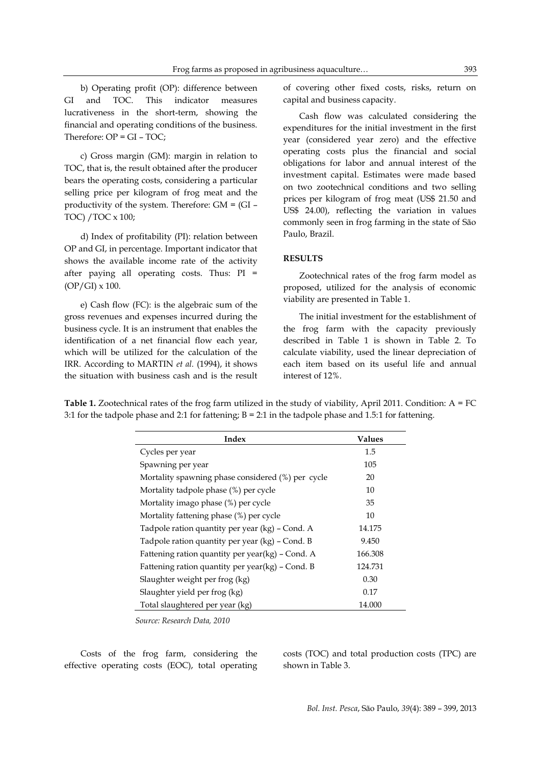b) Operating profit (OP): difference between GI and TOC. This indicator measures lucrativeness in the short-term, showing the financial and operating conditions of the business. Therefore:  $OP = GI - TOC$ ;

c) Gross margin (GM): margin in relation to TOC, that is, the result obtained after the producer bears the operating costs, considering a particular selling price per kilogram of frog meat and the productivity of the system. Therefore: GM = (GI – TOC) /TOC x 100;

d) Index of profitability (PI): relation between OP and GI, in percentage. Important indicator that shows the available income rate of the activity after paying all operating costs. Thus: PI =  $(OP/GI) \times 100$ .

e) Cash flow (FC): is the algebraic sum of the gross revenues and expenses incurred during the business cycle. It is an instrument that enables the identification of a net financial flow each year, which will be utilized for the calculation of the IRR. According to MARTIN *et al.* (1994), it shows the situation with business cash and is the result of covering other fixed costs, risks, return on capital and business capacity.

Cash flow was calculated considering the expenditures for the initial investment in the first year (considered year zero) and the effective operating costs plus the financial and social obligations for labor and annual interest of the investment capital. Estimates were made based on two zootechnical conditions and two selling prices per kilogram of frog meat (US\$ 21.50 and US\$ 24.00), reflecting the variation in values commonly seen in frog farming in the state of São Paulo, Brazil.

# **RESULTS**

Zootechnical rates of the frog farm model as proposed, utilized for the analysis of economic viability are presented in Table 1.

The initial investment for the establishment of the frog farm with the capacity previously described in Table 1 is shown in Table 2. To calculate viability, used the linear depreciation of each item based on its useful life and annual interest of 12%.

**Table 1.** Zootechnical rates of the frog farm utilized in the study of viability, April 2011. Condition: A = FC 3:1 for the tadpole phase and 2:1 for fattening;  $B = 2:1$  in the tadpole phase and 1.5:1 for fattening.

| Index                                             | Values  |
|---------------------------------------------------|---------|
| Cycles per year                                   | 1.5     |
| Spawning per year                                 | 105     |
| Mortality spawning phase considered (%) per cycle | 20      |
| Mortality tadpole phase (%) per cycle             | 10      |
| Mortality imago phase (%) per cycle               | 35      |
| Mortality fattening phase (%) per cycle           | 10      |
| Tadpole ration quantity per year (kg) - Cond. A   | 14.175  |
| Tadpole ration quantity per year (kg) - Cond. B   | 9.450   |
| Fattening ration quantity per year(kg) – Cond. A  | 166.308 |
| Fattening ration quantity per year(kg) - Cond. B  | 124.731 |
| Slaughter weight per frog (kg)                    | 0.30    |
| Slaughter yield per frog (kg)                     | 0.17    |
| Total slaughtered per year (kg)                   | 14.000  |

*Source: Research Data, 2010*

Costs of the frog farm, considering the effective operating costs (EOC), total operating costs (TOC) and total production costs (TPC) are shown in Table 3.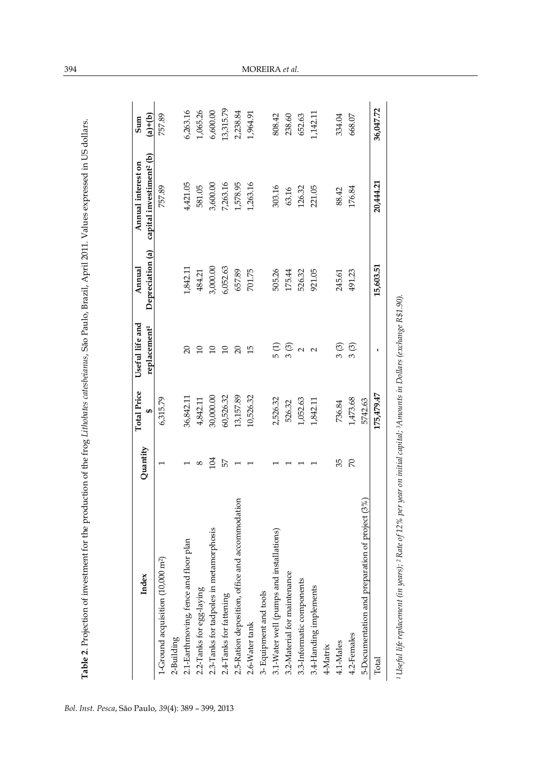| Index                                           | Quantity      | <b>Total Price</b><br>₩ | Useful life and<br>replacement <sup>1</sup> | Depreciation (a)<br>Annual | capital investiment <sup>2</sup> (b)<br>Annual interest on | $(a)+(b)$<br>Sum |
|-------------------------------------------------|---------------|-------------------------|---------------------------------------------|----------------------------|------------------------------------------------------------|------------------|
| 1-Ground acquisition (10,000 m <sup>2</sup> )   |               | 6,315.79                |                                             |                            | 757.89                                                     | 757.89           |
| 2-Building                                      |               |                         |                                             |                            |                                                            |                  |
| 2.1-Earthmoving, fence and floor plan           |               | 36,842.11               | $\Omega$                                    | 1,842.11                   | 4,421.05                                                   | 6,263.16         |
| 2.2-Tanks for egg-laying                        | $^{\circ}$    | 4,842.11                |                                             | 484.21                     | 581.05                                                     | 1,065.26         |
| 2.3-Tanks for tadpoles in metamorphosis         | $_{104}$      | 30,000.00               |                                             | 3,000.00                   | 3,600.00                                                   | 6,600.00         |
| 2.4-Tanks for fattening                         | 57            | 60,526.32               | $\overline{10}$                             | 6,052.63                   | 7,263.16                                                   | 13,315.79        |
| 2.5-Ration deposition, office and accommodation |               | 13,157.89               | $\Omega$                                    | 657.89                     | 1,578.95                                                   | 2,238.84         |
| 2.6-Water tank                                  |               | 10,526.32               | $\overline{1}$                              | 701.75                     | 1,263.16                                                   | 1,964.91         |
| 3- Equipment and tools                          |               |                         |                                             |                            |                                                            |                  |
| 3.1-Water well (pumps and installations)        |               | 2,526.32                | 5 (1)                                       | 505.26                     | 303.16                                                     | 808.42           |
| 3.2-Material for maintenance                    |               | 526.32                  | 3(3)                                        | 175.44                     | 63.16                                                      | 238.60           |
| 3.3-Informatic components                       |               | 1,052.63                | $\sim$                                      | 526.32                     | 126.32                                                     | 652.63           |
| 3.4-Handing implements                          |               | 1,842.11                | $\sim$                                      | 921.05                     | 221.05                                                     | 1,142.11         |
| 4-Matrix                                        |               |                         |                                             |                            |                                                            |                  |
| 4.1-Males                                       | 35            | 736.84                  | 3 (3)                                       | 245.61                     | 88.42                                                      | 334.04           |
| 4.2-Females                                     | $\mathcal{R}$ | 1,473.68                | 3(3)                                        | 491.23                     | 176.84                                                     | 668.07           |
| 5-Documentation and preparation of project (3%) |               | 5742.63                 |                                             |                            |                                                            |                  |
| Total                                           |               | 175,479.47              | ı                                           | 15,603.51                  | 20,444.21                                                  | 36,047.72        |

<sup>1</sup> Useful life replacement (in years); <sup>2</sup> Rate of 12% per year on initial capital; <sup>3</sup> Amounts in Dollars (exchange R\$1.90). *1 Useful life replacement (in years); 2 Rate of 12% per year on initial capital; 3Amounts in Dollars (exchange R\$1.90).*

**Table 2**. Projection of investment for the production of the frog *Lithobates catesbeianus*, São Paulo, Brazil, April 2011. Values expressed in US dollars.

Table 2. Projection of investment for the production of the frog Lithobates catesbeianus, São Paulo, Brazil, April 2011. Values expressed in US dollars.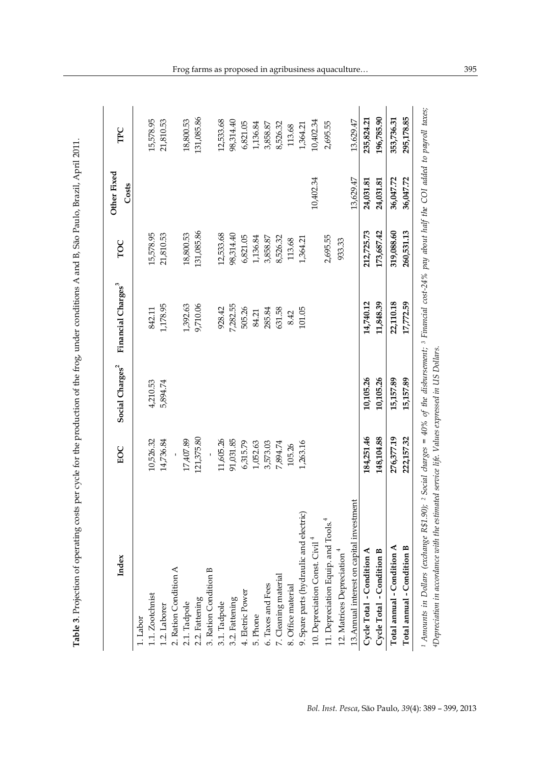| 36,047.72<br>13,629.47<br>10,402.34<br>24,031.81<br>24,031.81<br>131,085.86<br>212,725.73<br>173,687.42<br>319,088.60<br>15,578.95<br>21,810.53<br>18,800.53<br>12,533.68<br>98,314.40<br>6,821.05<br>1,136.84<br>2,695.55<br>3,858.87<br>8,526.32<br>1,364.21<br>113.68<br>933.33<br>14,740.12<br>11,848.39<br>22,110.18<br>1,178.95<br>1,392.63<br>9,710.06<br>7,282.55<br>928.42<br>505.26<br>101.05<br>285.84<br>631.58<br>842.11<br>84.21<br>8.42<br>10,105.26<br>10,105.26<br>15,157.89<br>4,210.53<br>5,894.74<br>184,251.46<br>148,104.88<br>276,377.19<br>121,375.80<br>17,407.89<br>10,526.32<br>14,736.84<br>11,605.26<br>91,031.85<br>6,315.79<br>3,573.03<br>7,894.74<br>1,263.16<br>1,052.63<br>105.26<br>13. Annual interest on capital investment<br>9. Spare parts (hydraulic and electric)<br>11. Depreciation Equip. and Tools. <sup>4</sup><br>10. Depreciation Const. Civil <sup>4</sup><br>Total annual - Condition A<br>Cycle Total - Condition A<br>12. Matrices Depreciation <sup>4</sup><br>Cycle Total - Condition B<br>1.2. Laborer<br>2. Ration Condition A<br>3. Ration Condition B<br>7. Cleaning material<br>6. Taxes and Fees<br>8. Office material<br>4. Eletric Power<br>1.1. Zootchnist<br>3.1. Tadpole<br>3.2. Fattening<br>2.1. Tadpole<br>2.2. Fattening<br>5. Phone<br>$1.$ Labor | Index                      | EOC        | Social Charges <sup>2</sup> | Financial Charges <sup>3</sup> | TOC        | Other Fixed<br>Costs | TPC        |
|---------------------------------------------------------------------------------------------------------------------------------------------------------------------------------------------------------------------------------------------------------------------------------------------------------------------------------------------------------------------------------------------------------------------------------------------------------------------------------------------------------------------------------------------------------------------------------------------------------------------------------------------------------------------------------------------------------------------------------------------------------------------------------------------------------------------------------------------------------------------------------------------------------------------------------------------------------------------------------------------------------------------------------------------------------------------------------------------------------------------------------------------------------------------------------------------------------------------------------------------------------------------------------------------------------------------------|----------------------------|------------|-----------------------------|--------------------------------|------------|----------------------|------------|
|                                                                                                                                                                                                                                                                                                                                                                                                                                                                                                                                                                                                                                                                                                                                                                                                                                                                                                                                                                                                                                                                                                                                                                                                                                                                                                                           |                            |            |                             |                                |            |                      |            |
|                                                                                                                                                                                                                                                                                                                                                                                                                                                                                                                                                                                                                                                                                                                                                                                                                                                                                                                                                                                                                                                                                                                                                                                                                                                                                                                           |                            |            |                             |                                |            |                      | 15,578.95  |
|                                                                                                                                                                                                                                                                                                                                                                                                                                                                                                                                                                                                                                                                                                                                                                                                                                                                                                                                                                                                                                                                                                                                                                                                                                                                                                                           |                            |            |                             |                                |            |                      | 21,810.53  |
|                                                                                                                                                                                                                                                                                                                                                                                                                                                                                                                                                                                                                                                                                                                                                                                                                                                                                                                                                                                                                                                                                                                                                                                                                                                                                                                           |                            |            |                             |                                |            |                      |            |
|                                                                                                                                                                                                                                                                                                                                                                                                                                                                                                                                                                                                                                                                                                                                                                                                                                                                                                                                                                                                                                                                                                                                                                                                                                                                                                                           |                            |            |                             |                                |            |                      | 18,800.53  |
|                                                                                                                                                                                                                                                                                                                                                                                                                                                                                                                                                                                                                                                                                                                                                                                                                                                                                                                                                                                                                                                                                                                                                                                                                                                                                                                           |                            |            |                             |                                |            |                      | 131,085.86 |
|                                                                                                                                                                                                                                                                                                                                                                                                                                                                                                                                                                                                                                                                                                                                                                                                                                                                                                                                                                                                                                                                                                                                                                                                                                                                                                                           |                            |            |                             |                                |            |                      |            |
|                                                                                                                                                                                                                                                                                                                                                                                                                                                                                                                                                                                                                                                                                                                                                                                                                                                                                                                                                                                                                                                                                                                                                                                                                                                                                                                           |                            |            |                             |                                |            |                      | 12,533.68  |
|                                                                                                                                                                                                                                                                                                                                                                                                                                                                                                                                                                                                                                                                                                                                                                                                                                                                                                                                                                                                                                                                                                                                                                                                                                                                                                                           |                            |            |                             |                                |            |                      | 98,314.40  |
|                                                                                                                                                                                                                                                                                                                                                                                                                                                                                                                                                                                                                                                                                                                                                                                                                                                                                                                                                                                                                                                                                                                                                                                                                                                                                                                           |                            |            |                             |                                |            |                      | 6,821.05   |
|                                                                                                                                                                                                                                                                                                                                                                                                                                                                                                                                                                                                                                                                                                                                                                                                                                                                                                                                                                                                                                                                                                                                                                                                                                                                                                                           |                            |            |                             |                                |            |                      | 1,136.84   |
|                                                                                                                                                                                                                                                                                                                                                                                                                                                                                                                                                                                                                                                                                                                                                                                                                                                                                                                                                                                                                                                                                                                                                                                                                                                                                                                           |                            |            |                             |                                |            |                      | 3,858.87   |
|                                                                                                                                                                                                                                                                                                                                                                                                                                                                                                                                                                                                                                                                                                                                                                                                                                                                                                                                                                                                                                                                                                                                                                                                                                                                                                                           |                            |            |                             |                                |            |                      | 8,526.32   |
|                                                                                                                                                                                                                                                                                                                                                                                                                                                                                                                                                                                                                                                                                                                                                                                                                                                                                                                                                                                                                                                                                                                                                                                                                                                                                                                           |                            |            |                             |                                |            |                      | 113.68     |
|                                                                                                                                                                                                                                                                                                                                                                                                                                                                                                                                                                                                                                                                                                                                                                                                                                                                                                                                                                                                                                                                                                                                                                                                                                                                                                                           |                            |            |                             |                                |            |                      | 1,364.21   |
|                                                                                                                                                                                                                                                                                                                                                                                                                                                                                                                                                                                                                                                                                                                                                                                                                                                                                                                                                                                                                                                                                                                                                                                                                                                                                                                           |                            |            |                             |                                |            |                      | 10,402.34  |
|                                                                                                                                                                                                                                                                                                                                                                                                                                                                                                                                                                                                                                                                                                                                                                                                                                                                                                                                                                                                                                                                                                                                                                                                                                                                                                                           |                            |            |                             |                                |            |                      | 2,695.55   |
|                                                                                                                                                                                                                                                                                                                                                                                                                                                                                                                                                                                                                                                                                                                                                                                                                                                                                                                                                                                                                                                                                                                                                                                                                                                                                                                           |                            |            |                             |                                |            |                      |            |
|                                                                                                                                                                                                                                                                                                                                                                                                                                                                                                                                                                                                                                                                                                                                                                                                                                                                                                                                                                                                                                                                                                                                                                                                                                                                                                                           |                            |            |                             |                                |            |                      | 13.629.47  |
|                                                                                                                                                                                                                                                                                                                                                                                                                                                                                                                                                                                                                                                                                                                                                                                                                                                                                                                                                                                                                                                                                                                                                                                                                                                                                                                           |                            |            |                             |                                |            |                      | 235,824.21 |
|                                                                                                                                                                                                                                                                                                                                                                                                                                                                                                                                                                                                                                                                                                                                                                                                                                                                                                                                                                                                                                                                                                                                                                                                                                                                                                                           |                            |            |                             |                                |            |                      | 196,785.90 |
|                                                                                                                                                                                                                                                                                                                                                                                                                                                                                                                                                                                                                                                                                                                                                                                                                                                                                                                                                                                                                                                                                                                                                                                                                                                                                                                           |                            |            |                             |                                |            |                      | 353,736.31 |
|                                                                                                                                                                                                                                                                                                                                                                                                                                                                                                                                                                                                                                                                                                                                                                                                                                                                                                                                                                                                                                                                                                                                                                                                                                                                                                                           | Total annual - Condition B | 222,157.32 | 15,157.89                   | 17,772.59                      | 260,531.13 | 36,047.72            | 295,178.85 |

**Table 3**. Projection of operating costs per cycle for the production of the frog, under conditions A and B, São Paulo, Brazil, April 2011.

Table 3. Projection of operating costs per cycle for the production of the frog, under conditions A and B, São Paulo, Brazil, April 2011.

Frog farms as proposed in agribusiness aquaculture… 395

*4Depreciation in accordance with the estimated service life. Values expressed in US Dollars.*

4Depreciation in accordance with the estimated service life. Values expressed in US Dollars.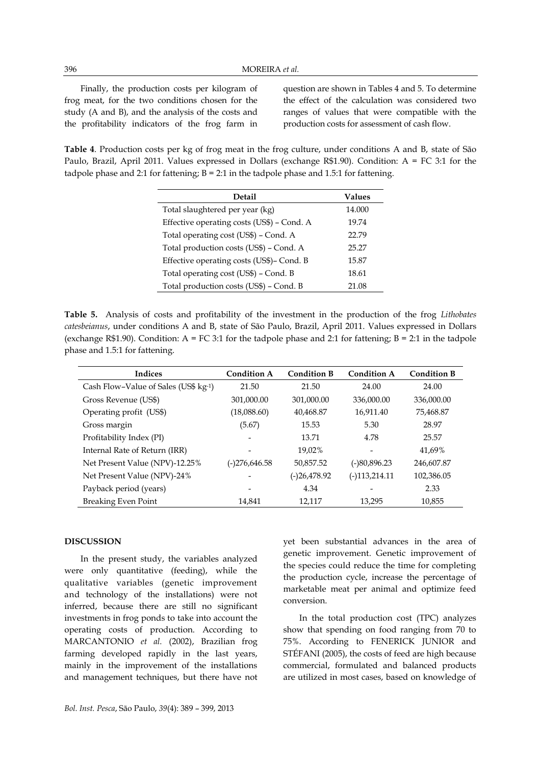Finally, the production costs per kilogram of frog meat, for the two conditions chosen for the study (A and B), and the analysis of the costs and the profitability indicators of the frog farm in

question are shown in Tables 4 and 5. To determine the effect of the calculation was considered two ranges of values that were compatible with the production costs for assessment of cash flow.

**Table 4**. Production costs per kg of frog meat in the frog culture, under conditions A and B, state of São Paulo, Brazil, April 2011. Values expressed in Dollars (exchange R\$1.90). Condition: A = FC 3:1 for the tadpole phase and 2:1 for fattening;  $B = 2:1$  in the tadpole phase and 1.5:1 for fattening.

| Detail                                     | <b>Values</b> |
|--------------------------------------------|---------------|
| Total slaughtered per year (kg)            | 14.000        |
| Effective operating costs (US\$) - Cond. A | 19.74         |
| Total operating cost (US\$) – Cond. A      | 22.79         |
| Total production costs (US\$) - Cond. A    | 25.27         |
| Effective operating costs (US\$)- Cond. B  | 15.87         |
| Total operating cost (US\$) - Cond. B      | 18.61         |
| Total production costs (US\$) - Cond. B    | 21.08         |

**Table 5.** Analysis of costs and profitability of the investment in the production of the frog *Lithobates catesbeianus*, under conditions A and B, state of São Paulo, Brazil, April 2011. Values expressed in Dollars (exchange R\$1.90). Condition:  $A = FC 3:1$  for the tadpole phase and 2:1 for fattening;  $B = 2:1$  in the tadpole phase and 1.5:1 for fattening.

| Indices                              | <b>Condition A</b> | <b>Condition B</b> | <b>Condition A</b> | <b>Condition B</b> |
|--------------------------------------|--------------------|--------------------|--------------------|--------------------|
| Cash Flow-Value of Sales (US\$ kg-1) | 21.50              | 21.50              | 24.00              | 24.00              |
| Gross Revenue (US\$)                 | 301,000.00         | 301,000.00         | 336,000.00         | 336,000.00         |
| Operating profit (US\$)              | (18,088.60)        | 40,468.87          | 16.911.40          | 75,468.87          |
| Gross margin                         | (5.67)             | 15.53              | 5.30               | 28.97              |
| Profitability Index (PI)             | $\overline{a}$     | 13.71              | 4.78               | 25.57              |
| Internal Rate of Return (IRR)        |                    | 19.02%             |                    | 41.69%             |
| Net Present Value (NPV)-12.25%       | (-)276,646.58      | 50.857.52          | $(-)80,896.23$     | 246,607.87         |
| Net Present Value (NPV)-24%          |                    | (-)26,478.92       | $(-)113,214.11$    | 102,386.05         |
| Payback period (years)               | $\overline{a}$     | 4.34               |                    | 2.33               |
| <b>Breaking Even Point</b>           | 14,841             | 12.117             | 13,295             | 10,855             |

# **DISCUSSION**

In the present study, the variables analyzed were only quantitative (feeding), while the qualitative variables (genetic improvement and technology of the installations) were not inferred, because there are still no significant investments in frog ponds to take into account the operating costs of production. According to MARCANTONIO *et al.* (2002), Brazilian frog farming developed rapidly in the last years, mainly in the improvement of the installations and management techniques, but there have not yet been substantial advances in the area of genetic improvement. Genetic improvement of the species could reduce the time for completing the production cycle, increase the percentage of marketable meat per animal and optimize feed conversion.

In the total production cost (TPC) analyzes show that spending on food ranging from 70 to 75%. According to FENERICK JUNIOR and STÉFANI (2005), the costs of feed are high because commercial, formulated and balanced products are utilized in most cases, based on knowledge of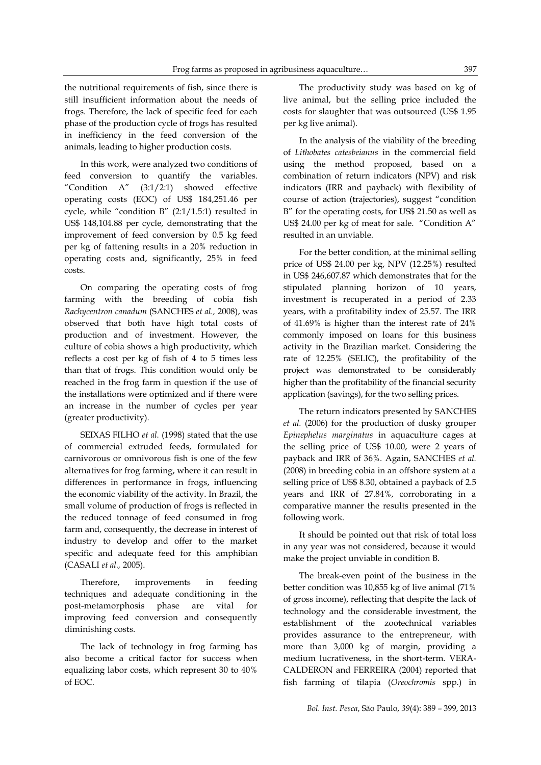the nutritional requirements of fish, since there is still insufficient information about the needs of frogs. Therefore, the lack of specific feed for each phase of the production cycle of frogs has resulted in inefficiency in the feed conversion of the animals, leading to higher production costs.

In this work, were analyzed two conditions of feed conversion to quantify the variables. "Condition  $A''$  (3:1/2:1) showed effective operating costs (EOC) of US\$ 184,251.46 per cycle, while "condition B" (2:1/1.5:1) resulted in US\$ 148,104.88 per cycle, demonstrating that the improvement of feed conversion by 0.5 kg feed per kg of fattening results in a 20% reduction in operating costs and, significantly, 25% in feed costs.

On comparing the operating costs of frog farming with the breeding of cobia fish *Rachycentron canadum* (SANCHES *et al.,* 2008), was observed that both have high total costs of production and of investment. However, the culture of cobia shows a high productivity, which reflects a cost per kg of fish of 4 to 5 times less than that of frogs. This condition would only be reached in the frog farm in question if the use of the installations were optimized and if there were an increase in the number of cycles per year (greater productivity).

SEIXAS FILHO *et al.* (1998) stated that the use of commercial extruded feeds, formulated for carnivorous or omnivorous fish is one of the few alternatives for frog farming, where it can result in differences in performance in frogs, influencing the economic viability of the activity. In Brazil, the small volume of production of frogs is reflected in the reduced tonnage of feed consumed in frog farm and, consequently, the decrease in interest of industry to develop and offer to the market specific and adequate feed for this amphibian (CASALI *et al.,* 2005).

Therefore, improvements in feeding techniques and adequate conditioning in the post-metamorphosis phase are vital for improving feed conversion and consequently diminishing costs.

The lack of technology in frog farming has also become a critical factor for success when equalizing labor costs, which represent 30 to 40% of EOC.

The productivity study was based on kg of live animal, but the selling price included the costs for slaughter that was outsourced (US\$ 1.95 per kg live animal).

In the analysis of the viability of the breeding of *Lithobates catesbeianus* in the commercial field using the method proposed, based on a combination of return indicators (NPV) and risk indicators (IRR and payback) with flexibility of course of action (trajectories), suggest "condition B" for the operating costs, for US\$ 21.50 as well as US\$ 24.00 per kg of meat for sale. "Condition A" resulted in an unviable.

For the better condition, at the minimal selling price of US\$ 24.00 per kg, NPV (12.25%) resulted in US\$ 246,607.87 which demonstrates that for the stipulated planning horizon of 10 years, investment is recuperated in a period of 2.33 years, with a profitability index of 25.57. The IRR of 41.69% is higher than the interest rate of 24% commonly imposed on loans for this business activity in the Brazilian market. Considering the rate of 12.25% (SELIC), the profitability of the project was demonstrated to be considerably higher than the profitability of the financial security application (savings), for the two selling prices.

The return indicators presented by SANCHES *et al.* (2006) for the production of dusky grouper *Epinephelus marginatus* in aquaculture cages at the selling price of US\$ 10.00, were 2 years of payback and IRR of 36%. Again, SANCHES *et al.*  (2008) in breeding cobia in an offshore system at a selling price of US\$ 8.30, obtained a payback of 2.5 years and IRR of 27.84%, corroborating in a comparative manner the results presented in the following work.

It should be pointed out that risk of total loss in any year was not considered, because it would make the project unviable in condition B.

The break-even point of the business in the better condition was 10,855 kg of live animal (71% of gross income), reflecting that despite the lack of technology and the considerable investment, the establishment of the zootechnical variables provides assurance to the entrepreneur, with more than 3,000 kg of margin, providing a medium lucrativeness, in the short-term. VERA-CALDERON and FERREIRA (2004) reported that fish farming of tilapia (*Oreochromis* spp.) in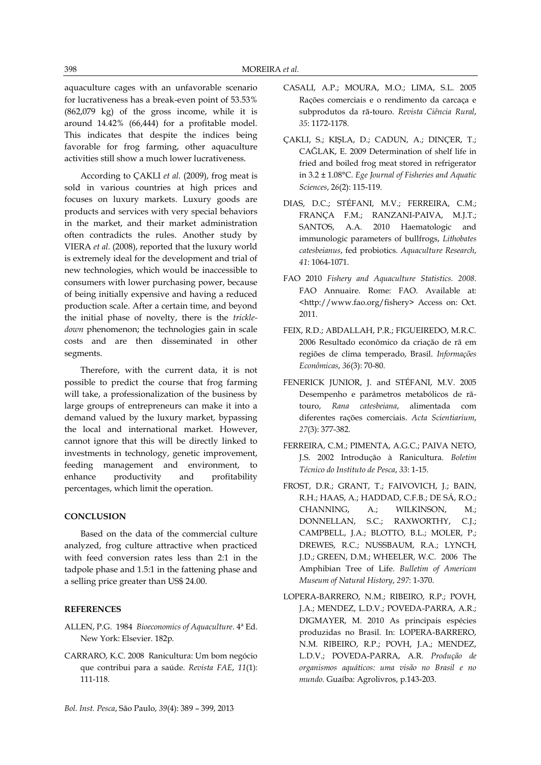aquaculture cages with an unfavorable scenario for lucrativeness has a break-even point of 53.53% (862,079 kg) of the gross income, while it is around 14.42% (66,444) for a profitable model. This indicates that despite the indices being favorable for frog farming, other aquaculture activities still show a much lower lucrativeness.

According to ÇAKLI *et al.* (2009), frog meat is sold in various countries at high prices and focuses on luxury markets. Luxury goods are products and services with very special behaviors in the market, and their market administration often contradicts the rules. Another study by VIERA *et al.* (2008), reported that the luxury world is extremely ideal for the development and trial of new technologies, which would be inaccessible to consumers with lower purchasing power, because of being initially expensive and having a reduced production scale. After a certain time, and beyond the initial phase of novelty, there is the *trickledown* phenomenon; the technologies gain in scale costs and are then disseminated in other segments.

Therefore, with the current data, it is not possible to predict the course that frog farming will take, a professionalization of the business by large groups of entrepreneurs can make it into a demand valued by the luxury market, bypassing the local and international market. However, cannot ignore that this will be directly linked to investments in technology, genetic improvement, feeding management and environment, to enhance productivity and profitability percentages, which limit the operation.

# **CONCLUSION**

Based on the data of the commercial culture analyzed, frog culture attractive when practiced with feed conversion rates less than 2:1 in the tadpole phase and 1.5:1 in the fattening phase and a selling price greater than US\$ 24.00.

#### **REFERENCES**

- ALLEN, P.G. 1984 *Bioeconomics of Aquaculture*. 4ª Ed. New York: Elsevier. 182p.
- CARRARO, K.C. 2008 Ranicultura: Um bom negócio que contribui para a saúde. *Revista FAE*, *11*(1): 111-118.
- *Bol. Inst. Pesca*, São Paulo, *39*(4): 389 399, 2013
- CASALI, A.P.; MOURA, M.O.; LIMA, S.L. 2005 Rações comerciais e o rendimento da carcaça e subprodutos da rã-touro. *Revista Ciência Rural*, *35*: 1172-1178.
- ÇAKLI, S.; KIŞLA, D.; CADUN, A.; DINÇER, T.; CAĞLAK, E. 2009 Determination of shelf life in fried and boiled frog meat stored in refrigerator in 3.2 ± 1.08°C. *Ege Journal of Fisheries and Aquatic Sciences*, 2*6*(2): 115-119.
- DIAS, D.C.; STÉFANI, M.V.; FERREIRA, C.M.; FRANÇA F.M.; RANZANI-PAIVA, M.J.T.; SANTOS, A.A. 2010 Haematologic and immunologic parameters of bullfrogs, *Lithobates catesbeianus*, fed probiotics*. Aquaculture Research*, *41*: 1064-1071.
- FAO 2010 *Fishery and Aquaculture Statistics. 2008*. FAO Annuaire. Rome: FAO. Available at: <http://www.fao.org/fishery> Access on: Oct. 2011.
- FEIX, R.D.; ABDALLAH, P.R.; FIGUEIREDO, M.R.C. 2006 Resultado econômico da criação de rã em regiões de clima temperado, Brasil. *Informações Econômicas*, *36*(3): 70-80.
- [FENERICK JUNIOR, J.](http://lattes.cnpq.br/9685726759285281) and STÉFANI, M.V. 2005 Desempenho e parâmetros metabólicos de rãtouro, *Rana catesbeiana*, alimentada com diferentes rações comerciais. *Acta Scientiarium*, *27*(3): 377-382.
- FERREIRA, C.M.; PIMENTA, A.G.C.; PAIVA NETO, J.S. 2002 Introdução à Ranicultura. *Boletim Técnico do Instituto de Pesca*, *33*: 1-15.
- [FROST,](http://taxonomicon.taxonomy.nl/Person.aspx?id=1170) D.R.; [GRANT,](http://taxonomicon.taxonomy.nl/Person.aspx?id=4322) T.; [FAIVOVICH,](http://taxonomicon.taxonomy.nl/Person.aspx?id=4323) J.; [BAIN,](http://taxonomicon.taxonomy.nl/Person.aspx?id=4324) R.H.; [HAAS,](http://taxonomicon.taxonomy.nl/Person.aspx?id=4325) A.; [HADDAD,](http://taxonomicon.taxonomy.nl/Person.aspx?id=4326) C.F.B.; [DE SÁ,](http://taxonomicon.taxonomy.nl/Person.aspx?id=4327) R.O.; [CHANNING,](http://taxonomicon.taxonomy.nl/Person.aspx?id=4328) A.; [WILKINSON,](http://taxonomicon.taxonomy.nl/Person.aspx?id=4329) M.; [DONNELLAN,](http://taxonomicon.taxonomy.nl/Person.aspx?id=4330) S.C.; [RAXWORTHY,](http://taxonomicon.taxonomy.nl/Person.aspx?id=4331) C.J.; [CAMPBELL,](http://taxonomicon.taxonomy.nl/Person.aspx?id=4332) J.A.; [BLOTTO,](http://taxonomicon.taxonomy.nl/Person.aspx?id=4333) B.L.; [MOLER,](http://taxonomicon.taxonomy.nl/Person.aspx?id=4334) P.; [DREWES,](http://taxonomicon.taxonomy.nl/Person.aspx?id=2652) R.C.; [NUSSBAUM,](http://taxonomicon.taxonomy.nl/Person.aspx?id=1565) R.A.; [LYNCH,](http://taxonomicon.taxonomy.nl/Person.aspx?id=4312) J.D.; [GREEN,](http://taxonomicon.taxonomy.nl/Person.aspx?id=4335) D.M.; [WHEELER,](http://taxonomicon.taxonomy.nl/Person.aspx?id=2162) W.C. 2006 The Amphibian Tree of Life. *Bulletim of American Museum of Natural History*, *297*: 1-370.
- LOPERA-BARRERO, N.M.; RIBEIRO, R.P.; POVH, J.A.; MENDEZ, L.D.V.; POVEDA-PARRA, A.R.; DIGMAYER, M. 2010 As principais espécies produzidas no Brasil. In: LOPERA-BARRERO, N.M. RIBEIRO, R.P.; POVH, J.A.; MENDEZ, L.D.V.; POVEDA-PARRA, A.R. *Produção de organismos aquáticos: uma visão no Brasil e no mundo.* Guaíba: Agrolivros, p.143-203.